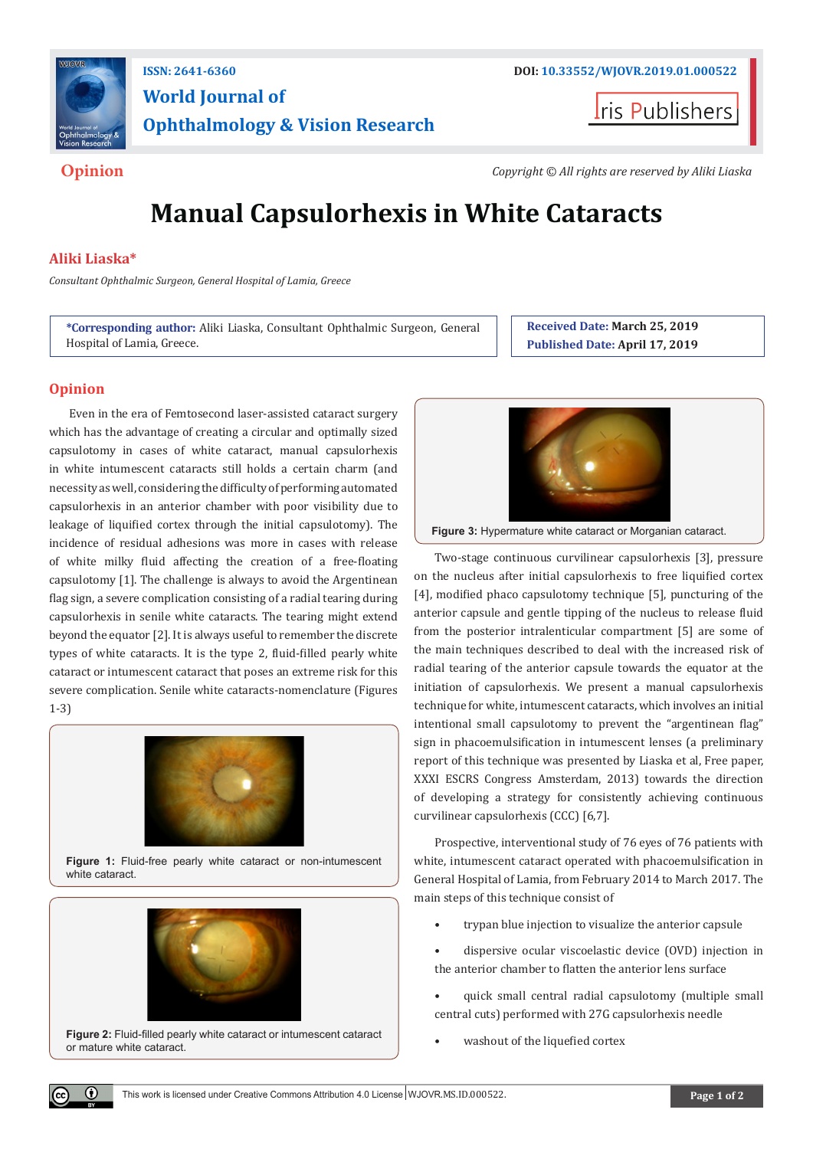

## **ISSN: 2641-6360 DOI: [10.33552/WJOVR.2019.01.000522](http://dx.doi.org/10.33552/WJOVR.2019.01.000522) World Journal of Ophthalmology & Vision Research**

**Iris Publishers** 

**Opinion** *Copyright © All rights are reserved by Aliki Liaska*

# **Manual Capsulorhexis in White Cataracts**

#### **Aliki Liaska\***

*Consultant Ophthalmic Surgeon, General Hospital of Lamia, Greece*

**\*Corresponding author:** Aliki Liaska, Consultant Ophthalmic Surgeon, General Hospital of Lamia, Greece.

**Received Date: March 25, 2019 Published Date: April 17, 2019**

### **Opinion**

Even in the era of Femtosecond laser-assisted cataract surgery which has the advantage of creating a circular and optimally sized capsulotomy in cases of white cataract, manual capsulorhexis in white intumescent cataracts still holds a certain charm (and necessity as well, considering the difficulty of performing automated capsulorhexis in an anterior chamber with poor visibility due to leakage of liquified cortex through the initial capsulotomy). The incidence of residual adhesions was more in cases with release of white milky fluid affecting the creation of a free-floating capsulotomy [1]. The challenge is always to avoid the Argentinean flag sign, a severe complication consisting of a radial tearing during capsulorhexis in senile white cataracts. The tearing might extend beyond the equator [2]. It is always useful to remember the discrete types of white cataracts. It is the type 2, fluid-filled pearly white cataract or intumescent cataract that poses an extreme risk for this severe complication. Senile white cataracts-nomenclature (Figures 1-3)



**Figure 1:** Fluid-free pearly white cataract or non-intumescent white cataract.



**Figure 2:** Fluid-filled pearly white cataract or intumescent cataract or mature white cataract.



**Figure 3:** Hypermature white cataract or Morganian cataract.

Two-stage continuous curvilinear capsulorhexis [3], pressure on the nucleus after initial capsulorhexis to free liquified cortex [4], modified phaco capsulotomy technique [5], puncturing of the anterior capsule and gentle tipping of the nucleus to release fluid from the posterior intralenticular compartment [5] are some of the main techniques described to deal with the increased risk of radial tearing of the anterior capsule towards the equator at the initiation of capsulorhexis. We present a manual capsulorhexis technique for white, intumescent cataracts, which involves an initial intentional small capsulotomy to prevent the "argentinean flag" sign in phacoemulsification in intumescent lenses (a preliminary report of this technique was presented by Liaska et al, Free paper, XXXI ESCRS Congress Amsterdam, 2013) towards the direction of developing a strategy for consistently achieving continuous curvilinear capsulorhexis (CCC) [6,7].

Prospective, interventional study of 76 eyes of 76 patients with white, intumescent cataract operated with phacoemulsification in General Hospital of Lamia, from February 2014 to March 2017. The main steps of this technique consist of

- trypan blue injection to visualize the anterior capsule
- dispersive ocular viscoelastic device (OVD) injection in the anterior chamber to flatten the anterior lens surface
- quick small central radial capsulotomy (multiple small central cuts) performed with 27G capsulorhexis needle
- washout of the liquefied cortex